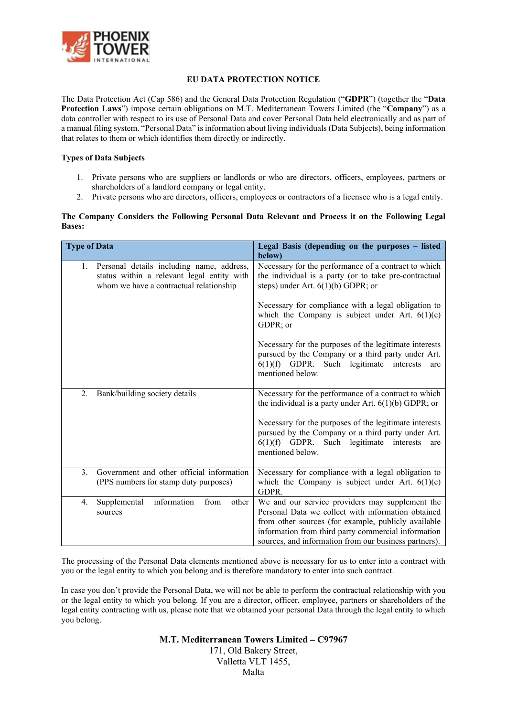

## **EU DATA PROTECTION NOTICE**

The Data Protection Act (Cap 586) and the General Data Protection Regulation ("**GDPR**") (together the "**Data Protection Laws**") impose certain obligations on M.T. Mediterranean Towers Limited (the "**Company**") as a data controller with respect to its use of Personal Data and cover Personal Data held electronically and as part of a manual filing system. "Personal Data" is information about living individuals (Data Subjects), being information that relates to them or which identifies them directly or indirectly.

## **Types of Data Subjects**

- 1. Private persons who are suppliers or landlords or who are directors, officers, employees, partners or shareholders of a landlord company or legal entity.
- 2. Private persons who are directors, officers, employees or contractors of a licensee who is a legal entity.

### **The Company Considers the Following Personal Data Relevant and Process it on the Following Legal Bases:**

| <b>Type of Data</b> |                                                                                                                                    | Legal Basis (depending on the purposes - listed<br>below)                                                                                                                                                                                                                    |
|---------------------|------------------------------------------------------------------------------------------------------------------------------------|------------------------------------------------------------------------------------------------------------------------------------------------------------------------------------------------------------------------------------------------------------------------------|
| 1.                  | Personal details including name, address,<br>status within a relevant legal entity with<br>whom we have a contractual relationship | Necessary for the performance of a contract to which<br>the individual is a party (or to take pre-contractual<br>steps) under Art. $6(1)(b)$ GDPR; or                                                                                                                        |
|                     |                                                                                                                                    | Necessary for compliance with a legal obligation to<br>which the Company is subject under Art. $6(1)(c)$<br>GDPR; or                                                                                                                                                         |
|                     |                                                                                                                                    | Necessary for the purposes of the legitimate interests<br>pursued by the Company or a third party under Art.<br>$6(1)(f)$ GDPR. Such legitimate interests<br>are<br>mentioned below.                                                                                         |
| 2.                  | Bank/building society details                                                                                                      | Necessary for the performance of a contract to which<br>the individual is a party under Art. $6(1)(b)$ GDPR; or                                                                                                                                                              |
|                     |                                                                                                                                    | Necessary for the purposes of the legitimate interests<br>pursued by the Company or a third party under Art.<br>Such legitimate interests<br>$6(1)(f)$ GDPR.<br>are<br>mentioned below.                                                                                      |
| 3.                  | Government and other official information<br>(PPS numbers for stamp duty purposes)                                                 | Necessary for compliance with a legal obligation to<br>which the Company is subject under Art. $6(1)(c)$<br>GDPR.                                                                                                                                                            |
| 4.                  | information<br>Supplemental<br>from<br>other<br>sources                                                                            | We and our service providers may supplement the<br>Personal Data we collect with information obtained<br>from other sources (for example, publicly available<br>information from third party commercial information<br>sources, and information from our business partners). |

The processing of the Personal Data elements mentioned above is necessary for us to enter into a contract with you or the legal entity to which you belong and is therefore mandatory to enter into such contract.

In case you don't provide the Personal Data, we will not be able to perform the contractual relationship with you or the legal entity to which you belong*.* If you are a director, officer, employee, partners or shareholders of the legal entity contracting with us, please note that we obtained your personal Data through the legal entity to which you belong.

> **M.T. Mediterranean Towers Limited – C97967** 171, Old Bakery Street, Valletta VLT 1455, Malta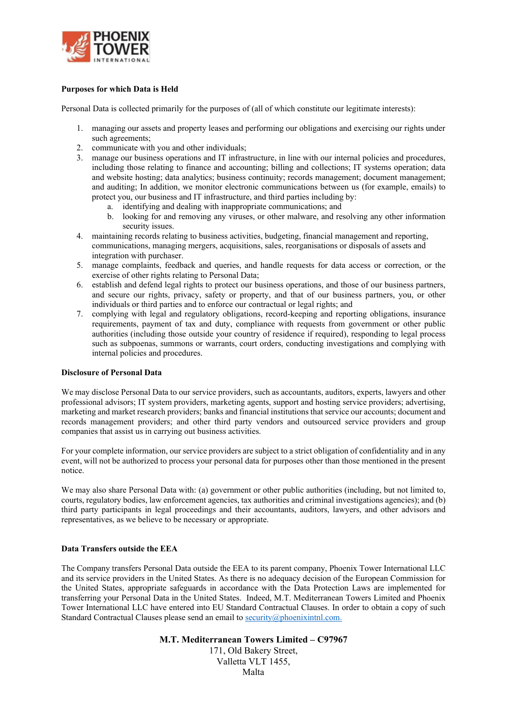

## **Purposes for which Data is Held**

Personal Data is collected primarily for the purposes of (all of which constitute our legitimate interests):

- 1. managing our assets and property leases and performing our obligations and exercising our rights under such agreements;
- 2. communicate with you and other individuals;
- 3. manage our business operations and IT infrastructure, in line with our internal policies and procedures, including those relating to finance and accounting; billing and collections; IT systems operation; data and website hosting; data analytics; business continuity; records management; document management; and auditing; In addition, we monitor electronic communications between us (for example, emails) to protect you, our business and IT infrastructure, and third parties including by:
	- a. identifying and dealing with inappropriate communications; and
	- b. looking for and removing any viruses, or other malware, and resolving any other information security issues.
- 4. maintaining records relating to business activities, budgeting, financial management and reporting, communications, managing mergers, acquisitions, sales, reorganisations or disposals of assets and integration with purchaser.
- 5. manage complaints, feedback and queries, and handle requests for data access or correction, or the exercise of other rights relating to Personal Data;
- 6. establish and defend legal rights to protect our business operations, and those of our business partners, and secure our rights, privacy, safety or property, and that of our business partners, you, or other individuals or third parties and to enforce our contractual or legal rights; and
- 7. complying with legal and regulatory obligations, record-keeping and reporting obligations, insurance requirements, payment of tax and duty, compliance with requests from government or other public authorities (including those outside your country of residence if required), responding to legal process such as subpoenas, summons or warrants, court orders, conducting investigations and complying with internal policies and procedures.

### **Disclosure of Personal Data**

We may disclose Personal Data to our service providers, such as accountants, auditors, experts, lawyers and other professional advisors; IT system providers, marketing agents, support and hosting service providers; advertising, marketing and market research providers; banks and financial institutions that service our accounts; document and records management providers; and other third party vendors and outsourced service providers and group companies that assist us in carrying out business activities.

For your complete information, our service providers are subject to a strict obligation of confidentiality and in any event, will not be authorized to process your personal data for purposes other than those mentioned in the present notice.

We may also share Personal Data with: (a) government or other public authorities (including, but not limited to, courts, regulatory bodies, law enforcement agencies, tax authorities and criminal investigations agencies); and (b) third party participants in legal proceedings and their accountants, auditors, lawyers, and other advisors and representatives, as we believe to be necessary or appropriate.

### **Data Transfers outside the EEA**

The Company transfers Personal Data outside the EEA to its parent company, Phoenix Tower International LLC and its service providers in the United States. As there is no adequacy decision of the European Commission for the United States, appropriate safeguards in accordance with the Data Protection Laws are implemented for transferring your Personal Data in the United States. Indeed, M.T. Mediterranean Towers Limited and Phoenix Tower International LLC have entered into EU Standard Contractual Clauses. In order to obtain a copy of such Standard Contractual Clauses please send an email to  $\frac{security@phoenixintnl.com}{$ .

> **M.T. Mediterranean Towers Limited – C97967** 171, Old Bakery Street, Valletta VLT 1455, Malta